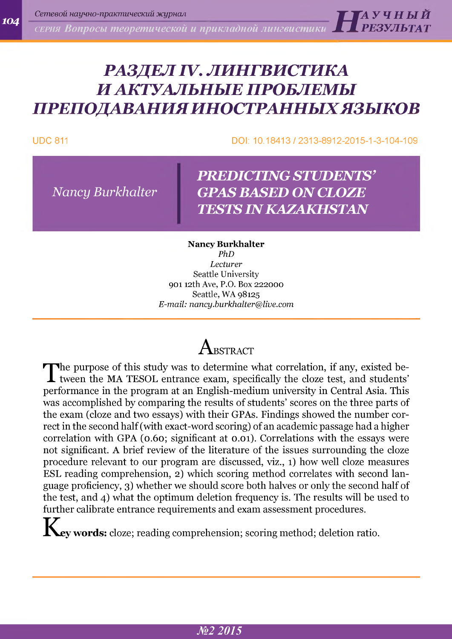серия Вопросы теоретической и прикладной лингвистики Губев Тевени Вопросы теоретической и прикладной лингвистики

# РАЗДЕЛ IV. ЛИНГВИСТИКА И АКТУАЛЬНЫЕ ПРОБЛЕМЫ ПРЕПОДАВАНИЯ ИНОСТРАННЫХ ЯЗЫКОВ

**UDC 811** 

104

DOI: 10.18413 / 2313-8912-2015-1-3-104-109

**АУЧНЫЙ** 

Nancy Burkhalter

PREDICTING STUDENTS' **GPAS BASED ON CLOZE TESTS IN KAZAKHSTAN** 

**Nancy Burkhalter** PhD Lecturer Seattle University 901 12th Ave, P.O. Box 222000 Seattle, WA 98125 E-mail: nancu.burkhalter@live.com

# $\rm A_{\rm BSTRACT}$

The purpose of this study was to determine what correlation, if any, existed be-<br>tween the MA TESOL entrance exam, specifically the cloze test, and students' performance in the program at an English-medium university in Central Asia. This was accomplished by comparing the results of students' scores on the three parts of the exam (cloze and two essays) with their GPAs. Findings showed the number correct in the second half (with exact-word scoring) of an academic passage had a higher correlation with GPA (0.60; significant at 0.01). Correlations with the essays were not significant. A brief review of the literature of the issues surrounding the cloze procedure relevant to our program are discussed, viz., 1) how well cloze measures ESL reading comprehension, 2) which scoring method correlates with second language proficiency, 3) whether we should score both halves or only the second half of the test, and 4) what the optimum deletion frequency is. The results will be used to further calibrate entrance requirements and exam assessment procedures.

y words: cloze; reading comprehension; scoring method; deletion ratio.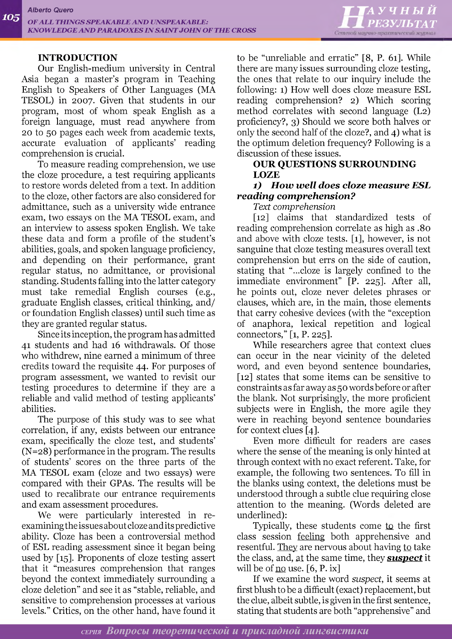

#### **INTRODUCTION**

Our English-medium university in Central Asia began a master's program in Teaching English to Speakers of Other Languages (MA TESOL) in 2007. Given that students in our program, most of whom speak English as a foreign language, must read anywhere from 20 to 50 pages each week from academic texts, accurate evaluation of applicants' reading comprehension is crucial.

To measure reading comprehension, we use the cloze procedure, a test requiring applicants to restore words deleted from a text. In addition to the cloze, other factors are also considered for admittance, such as a university wide entrance exam, two essays on the MA TESOL exam, and an interview to assess spoken English. We take these data and form a profile of the student's abilities, goals, and spoken language proficiency, and depending on their performance, grant regular status, no admittance, or provisional standing. Students falling into the latter category must take remedial English courses (e.g., graduate English classes, critical thinking, and/ or foundation English classes) until such time as they are granted regular status.

Since its inception, the program has admitted 41 students and had 16 withdrawals. Of those who withdrew, nine earned a minimum of three credits toward the requisite 44. For purposes of program assessment, we wanted to revisit our testing procedures to determine if they are a reliable and valid method of testing applicants' abilities.

The purpose of this study was to see what correlation, if any, exists between our entrance exam, specifically the cloze test, and students' (N=28) performance in the program. The results of students' scores on the three parts of the MA TESOL exam (cloze and two essays) were compared with their GPAs. The results will be used to recalibrate our entrance requirements and exam assessment procedures.

We were particularly interested in reexamining the issues about cloze and its predictive ability. Cloze has been a controversial method of ESL reading assessment since it began being used by [15]. Proponents of cloze testing assert that it "measures comprehension that ranges beyond the context immediately surrounding a cloze deletion" and see it as "stable, reliable, and sensitive to comprehension processes at various levels." Critics, on the other hand, have found it to be "unreliable and erratic" [8, P. 61]. While there are many issues surrounding cloze testing, the ones that relate to our inquiry include the following: 1) How well does cloze measure ESL reading comprehension? 2) Which scoring method correlates with second language (L2) proficiency?, 3) Should we score both halves or only the second half of the cloze?, and 4) what is the optimum deletion frequency? Following is a discussion of these issues.

#### OUR QUESTIONS SURROUNDING **LOZE**

#### *1) How well does cloze measure ESL reading comprehension?*

#### *Text comprehension*

[12] claims that standardized tests of reading comprehension correlate as high as .80 and above with cloze tests. [1], however, is not sanguine that cloze testing measures overall text comprehension but errs on the side of caution, stating that "...cloze is largely confined to the immediate environment" [P. 225]. After all, he points out, cloze never deletes phrases or clauses, which are, in the main, those elements that carry cohesive devices (with the "exception of anaphora, lexical repetition and logical connectors," [1, P. 225].

While researchers agree that context clues can occur in the near vicinity of the deleted word, and even beyond sentence boundaries, [12] states that some items can be sensitive to constraints as far away as 50 words before or after the blank. Not surprisingly, the more proficient subjects were in English, the more agile they were in reaching beyond sentence boundaries for context clues [4].

Even more difficult for readers are cases where the sense of the meaning is only hinted at through context with no exact referent. Take, for example, the following two sentences. To fill in the blanks using context, the deletions must be understood through a subtle clue requiring close attention to the meaning. (Words deleted are underlined):

Typically, these students come to the first class session feeling both apprehensive and resentful. They are nervous about having to take the class, and, at the same time, they **suspect** it will be of no use. [6, P. ix]

If we examine the word *suspect*, it seems at first blush to be a difficult (exact) replacement, but the clue, albeit subtle, is given in the first sentence, stating that students are both "apprehensive" and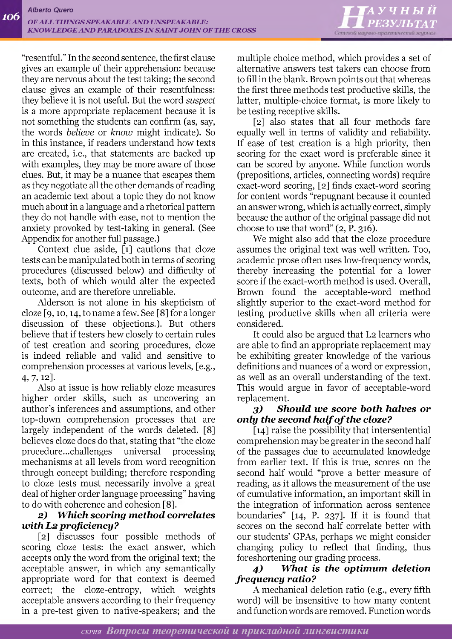"resentful." In the second sentence, the first clause gives an example of their apprehension: because they are nervous about the test taking; the second clause gives an example of their resentfulness: they believe it is not useful. But the word *suspect* is a more appropriate replacement because it is not something the students can confirm (as, say, the words *believe* or *know* might indicate). So in this instance, if readers understand how texts are created, i.e., that statements are backed up with examples, they may be more aware of those clues. But, it may be a nuance that escapes them as they negotiate all the other demands of reading an academic text about a topic they do not know much about in a language and a rhetorical pattern they do not handle with ease, not to mention the anxiety provoked by test-taking in general. (See Appendix for another full passage.)

Context clue aside, [1] cautions that cloze tests can be manipulated both in terms of scoring procedures (discussed below) and difficulty of texts, both of which would alter the expected outcome, and are therefore unreliable.

Alderson is not alone in his skepticism of cloze  $[9, 10, 14,$  to name a few. See  $[8]$  for a longer discussion of these objections.). But others believe that if testers hew closely to certain rules of test creation and scoring procedures, cloze is indeed reliable and valid and sensitive to comprehension processes at various levels, [e.g., 4, 7, 12j.

Also at issue is how reliably cloze measures higher order skills, such as uncovering an author's inferences and assumptions, and other top-down comprehension processes that are largely independent of the words deleted. [8j believes cloze does do that, stating that "the cloze procedure...challenges universal processing mechanisms at all levels from word recognition through concept building; therefore responding to cloze tests must necessarily involve a great deal of higher order language processing" having to do with coherence and cohesion [8j.

# 2) Which scoring method correlates *with L2 proficiency?*

[2j discusses four possible methods of scoring cloze tests: the exact answer, which accepts only the word from the original text; the acceptable answer, in which any semantically appropriate word for that context is deemed correct; the cloze-entropy, which weights acceptable answers according to their frequency in a pre-test given to native-speakers; and the

multiple choice method, which provides a set of alternative answers test takers can choose from to fill in the blank. Brown points out that whereas the first three methods test productive skills, the latter, multiple-choice format, is more likely to be testing receptive skills.

[2] also states that all four methods fare equally well in terms of validity and reliability. If ease of test creation is a high priority, then scoring for the exact word is preferable since it can be scored by anyone. While function words (prepositions, articles, connecting words) require exact-word scoring, [2j finds exact-word scoring for content words "repugnant because it counted an answer wrong, which is actually correct, simply because the author of the original passage did not choose to use that word" (2, P. 316).

We might also add that the cloze procedure assumes the original text was well written. Too, academic prose often uses low-frequency words, thereby increasing the potential for a lower score if the exact-worth method is used. Overall, Brown found the acceptable-word method slightly superior to the exact-word method for testing productive skills when all criteria were considered.

It could also be argued that L2 learners who are able to find an appropriate replacement may be exhibiting greater knowledge of the various definitions and nuances of a word or expression, as well as an overall understanding of the text. This would argue in favor of acceptable-word replacement.

### *3 Should we score both halves or only the second half of the cloze?*

[14j raise the possibility that intersentential comprehension may be greater in the second half of the passages due to accumulated knowledge from earlier text. If this is true, scores on the second half would "prove a better measure of reading, as it allows the measurement of the use of cumulative information, an important skill in the integration of information across sentence boundaries" [14, P. 237]. If it is found that scores on the second half correlate better with our students' GPAs, perhaps we might consider changing policy to reflect that finding, thus foreshortening our grading process.

# 4) What is the optimum deletion *frequency ratio?*

A mechanical deletion ratio (e.g., every fifth word) will be insensitive to how many content and function words are removed. Function words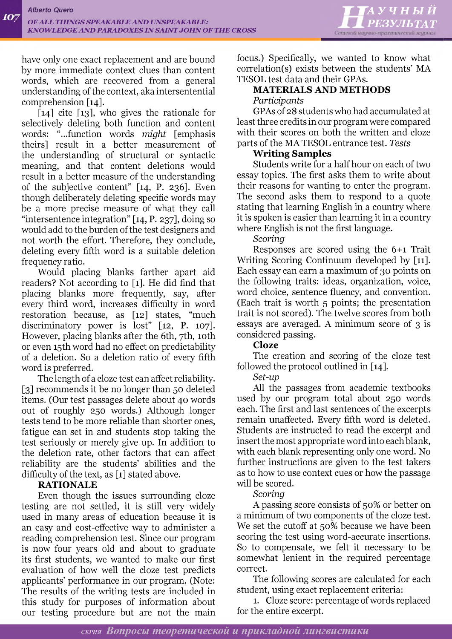

have only one exact replacement and are bound by more immediate context clues than content words, which are recovered from a general understanding of the context, aka intersentential comprehension [14].

[14] cite [13], who gives the rationale for selectively deleting both function and content words: "...function words *might* [emphasis theirs] result in a better measurement of the understanding of structural or syntactic meaning, and that content deletions would result in a better measure of the understanding of the subjective content" [14, P. 236]. Even though deliberately deleting specific words may be a more precise measure of what they call "intersentence integration" [14, P. 237], doing so would add to the burden of the test designers and not worth the effort. Therefore, they conclude, deleting every fifth word is a suitable deletion frequency ratio.

Would placing blanks farther apart aid readers? Not according to [1]. He did find that placing blanks more frequently, say, after every third word, increases difficulty in word restoration because, as [12] states, "much discriminatory power is lost" [12, P. 107]. However, placing blanks after the 6th, 7th, 10th or even 15th word had no effect on predictability of a deletion. So a deletion ratio of every fifth word is preferred.

The length of a cloze test can affect reliability. [3] recommends it be no longer than 50 deleted items. (Our test passages delete about 40 words out of roughly 250 words.) Although longer tests tend to be more reliable than shorter ones, fatigue can set in and students stop taking the test seriously or merely give up. In addition to the deletion rate, other factors that can affect reliability are the students' abilities and the difficulty of the text, as [1] stated above.

#### **RATIONALE**

Even though the issues surrounding cloze testing are not settled, it is still very widely used in many areas of education because it is an easy and cost-effective way to administer a reading comprehension test. Since our program is now four years old and about to graduate its first students, we wanted to make our first evaluation of how well the cloze test predicts applicants' performance in our program. (Note: The results of the writing tests are included in this study for purposes of information about our testing procedure but are not the main focus.) Specifically, we wanted to know what correlation(s) exists between the students' MA TESOL test data and their GPAs.

#### **MATERIALS AND METHODS** *Participants*

GPAs of 28 students who had accumulated at least three credits in our program were compared with their scores on both the written and cloze parts of the MA TESOL entrance test. *Tests*

#### **Writing Samples**

Students write for a half hour on each of two essay topics. The first asks them to write about their reasons for wanting to enter the program. The second asks them to respond to a quote stating that learning English in a country where it is spoken is easier than learning it in a country where English is not the first language.

#### *Scoring*

Responses are scored using the 6+1 Trait Writing Scoring Continuum developed by [11]. Each essay can earn a maximum of 30 points on the following traits: ideas, organization, voice, word choice, sentence fluency, and convention. (Each trait is worth 5 points; the presentation trait is not scored). The twelve scores from both essays are averaged. A minimum score of 3 is considered passing.

#### Cloze

The creation and scoring of the cloze test followed the protocol outlined in [14].

#### *Set-up*

All the passages from academic textbooks used by our program total about 250 words each. The first and last sentences of the excerpts remain unaffected. Every fifth word is deleted. Students are instructed to read the excerpt and insert the most appropriate word into each blank, with each blank representing only one word. No further instructions are given to the test takers as to how to use context cues or how the passage will be scored.

#### *Scoring*

A passing score consists of 50% or better on a minimum of two components of the cloze test. We set the cutoff at 50% because we have been scoring the test using word-accurate insertions. So to compensate, we felt it necessary to be somewhat lenient in the required percentage correct.

The following scores are calculated for each student, using exact replacement criteria:

1. Cloze score: percentage of words replaced for the entire excerpt.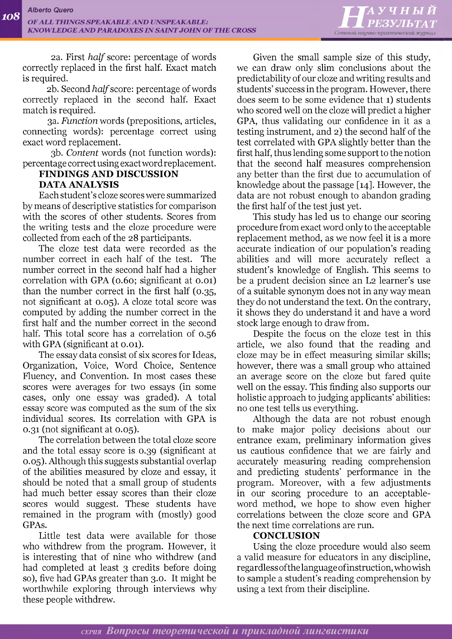

2a. First *half* score: percentage of words correctly replaced in the first half. Exact match is required.

2b. Second *half* score: percentage of words correctly replaced in the second half. Exact match is required.

3a. *Function* words (prepositions, articles, connecting words): percentage correct using exact word replacement.

3b. *Content* words (not function words): percentage correct using exact word replacement.

#### FINDINGS AND DISCUSSION DATA ANALYSIS

Each student's cloze scores were summarized by means of descriptive statistics for comparison with the scores of other students. Scores from the writing tests and the cloze procedure were collected from each of the 28 participants.

The cloze test data were recorded as the number correct in each half of the test. The number correct in the second half had a higher correlation with GPA (0.60; significant at 0.01) than the number correct in the first half (0.35, not significant at 0.05). A cloze total score was computed by adding the number correct in the first half and the number correct in the second half. This total score has a correlation of 0.56 with GPA (significant at 0.01).

The essay data consist of six scores for Ideas, Organization, Voice, Word Choice, Sentence Fluency, and Convention. In most cases these scores were averages for two essays (in some cases, only one essay was graded). A total essay score was computed as the sum of the six individual scores. Its correlation with GPA is 0.31 (not significant at 0.05).

The correlation between the total cloze score and the total essay score is 0.39 (significant at 0.05). Although this suggests substantial overlap of the abilities measured by cloze and essay, it should be noted that a small group of students had much better essay scores than their cloze scores would suggest. These students have remained in the program with (mostly) good GPAs.

Little test data were available for those who withdrew from the program. However, it is interesting that of nine who withdrew (and had completed at least 3 credits before doing so), five had GPAs greater than 3.0. It might be worthwhile exploring through interviews why these people withdrew.

Given the small sample size of this study, we can draw only slim conclusions about the predictability of our cloze and writing results and students' success in the program. However, there does seem to be some evidence that 1) students who scored well on the cloze will predict a higher GPA, thus validating our confidence in it as a testing instrument, and 2) the second half of the test correlated with GPA slightly better than the first half, thus lending some support to the notion that the second half measures comprehension any better than the first due to accumulation of knowledge about the passage [14]. However, the data are not robust enough to abandon grading the first half of the test just yet.

This study has led us to change our scoring procedure from exact word only to the acceptable replacement method, as we now feel it is a more accurate indication of our population's reading abilities and will more accurately reflect a student's knowledge of English. This seems to be a prudent decision since an L2 learner's use of a suitable synonym does not in any way mean they do not understand the text. On the contrary, it shows they do understand it and have a word stock large enough to draw from.

Despite the focus on the cloze test in this article, we also found that the reading and cloze may be in effect measuring similar skills; however, there was a small group who attained an average score on the cloze but fared quite well on the essay. This finding also supports our holistic approach to judging applicants' abilities: no one test tells us everything.

Although the data are not robust enough to make major policy decisions about our entrance exam, preliminary information gives us cautious confidence that we are fairly and accurately measuring reading comprehension and predicting students' performance in the program. Moreover, with a few adjustments in our scoring procedure to an acceptableword method, we hope to show even higher correlations between the cloze score and GPA the next time correlations are run.

#### **CONCLUSION**

Using the cloze procedure would also seem a valid measure for educators in any discipline, regardless of the language of instruction, who wish to sample a student's reading comprehension by using a text from their discipline.